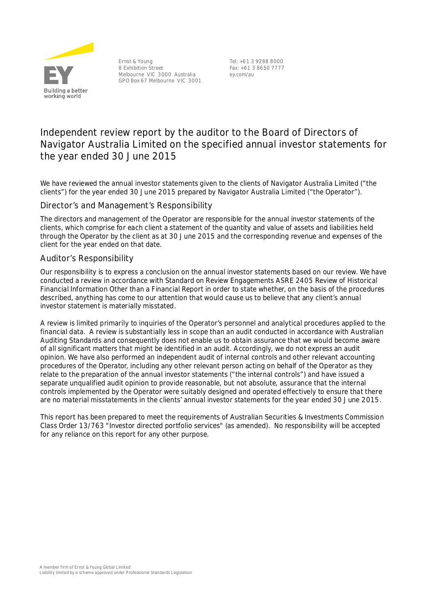

Ernst & Young 8 Exhibition Street Melbourne VIC 3000 Australia GPO Box 67 Melbourne VIC 3001

Tel: +61 3 9288 8000 Fax: +61 3 8650 7777 ey.com/au

# **Independent review report by the auditor to the Board of Directors of Navigator Australia Limited on the specified annual investor statements for the year ended 30 June 2015**

We have reviewed the annual investor statements given to the clients of Navigator Australia Limited ("the clients") for the year ended 30 June 2015 prepared by Navigator Australia Limited ("the Operator").

# Director's and Management's Responsibility

The directors and management of the Operator are responsible for the annual investor statements of the clients, which comprise for each client a statement of the quantity and value of assets and liabilities held through the Operator by the client as at 30 June 2015 and the corresponding revenue and expenses of the client for the year ended on that date.

## Auditor's Responsibility

Our responsibility is to express a conclusion on the annual investor statements based on our review. We have conducted a review in accordance with Standard on Review Engagements ASRE 2405 *Review of Historical Financial Information Other than a Financial Report* in order to state whether, on the basis of the procedures described, anything has come to our attention that would cause us to believe that any client's annual investor statement is materially misstated.

A review is limited primarily to inquiries of the Operator's personnel and analytical procedures applied to the financial data. A review is substantially less in scope than an audit conducted in accordance with Australian Auditing Standards and consequently does not enable us to obtain assurance that we would become aware of all significant matters that might be identified in an audit. Accordingly, we do not express an audit opinion. We have also performed an independent audit of internal controls and other relevant accounting procedures of the Operator, including any other relevant person acting on behalf of the Operator as they relate to the preparation of the annual investor statements ("the internal controls") and have issued a separate unqualified audit opinion to provide reasonable, but not absolute, assurance that the internal controls implemented by the Operator were suitably designed and operated effectively to ensure that there are no material misstatements in the clients' annual investor statements for the year ended 30 June 2015.

This report has been prepared to meet the requirements of Australian Securities & Investments Commission Class Order 13/763 "Investor directed portfolio services" (as amended). No responsibility will be accepted for any reliance on this report for any other purpose.